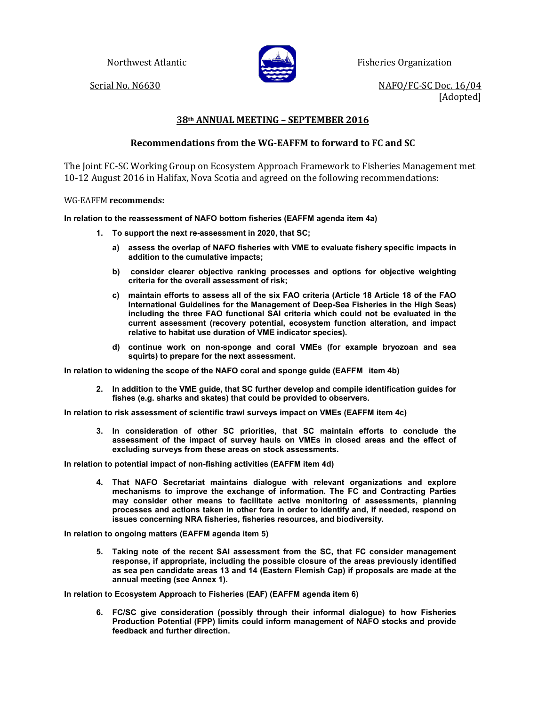

Northwest Atlantic **Fisheries Organization** 

Serial No. N6630 NAFO/FC-SC Doc. 16/04 [Adopted]

## **38th ANNUAL MEETING – SEPTEMBER 2016**

## **Recommendations from the WG-EAFFM to forward to FC and SC**

The Joint FC-SC Working Group on Ecosystem Approach Framework to Fisheries Management met 10-12 August 2016 in Halifax, Nova Scotia and agreed on the following recommendations:

WG-EAFFM **recommends:** 

## **In relation to the reassessment of NAFO bottom fisheries (EAFFM agenda item 4a)**

- **1. To support the next re-assessment in 2020, that SC;**
	- **a) assess the overlap of NAFO fisheries with VME to evaluate fishery specific impacts in addition to the cumulative impacts;**
	- **b) consider clearer objective ranking processes and options for objective weighting criteria for the overall assessment of risk;**
	- **c) maintain efforts to assess all of the six FAO criteria (Article 18 Article 18 of the FAO International Guidelines for the Management of Deep-Sea Fisheries in the High Seas) including the three FAO functional SAI criteria which could not be evaluated in the current assessment (recovery potential, ecosystem function alteration, and impact relative to habitat use duration of VME indicator species).**
	- **d) continue work on non-sponge and coral VMEs (for example bryozoan and sea squirts) to prepare for the next assessment.**

**In relation to widening the scope of the NAFO coral and sponge guide (EAFFM item 4b)**

**2. In addition to the VME guide, that SC further develop and compile identification guides for fishes (e.g. sharks and skates) that could be provided to observers.**

**In relation to risk assessment of scientific trawl surveys impact on VMEs (EAFFM item 4c)** 

**3. In consideration of other SC priorities, that SC maintain efforts to conclude the assessment of the impact of survey hauls on VMEs in closed areas and the effect of excluding surveys from these areas on stock assessments.** 

**In relation to potential impact of non-fishing activities (EAFFM item 4d)**

**4. That NAFO Secretariat maintains dialogue with relevant organizations and explore mechanisms to improve the exchange of information. The FC and Contracting Parties may consider other means to facilitate active monitoring of assessments, planning processes and actions taken in other fora in order to identify and, if needed, respond on issues concerning NRA fisheries, fisheries resources, and biodiversity.**

**In relation to ongoing matters (EAFFM agenda item 5)**

**5. Taking note of the recent SAI assessment from the SC, that FC consider management response, if appropriate, including the possible closure of the areas previously identified as sea pen candidate areas 13 and 14 (Eastern Flemish Cap) if proposals are made at the annual meeting (see Annex 1).**

**In relation to Ecosystem Approach to Fisheries (EAF) (EAFFM agenda item 6)**

**6. FC/SC give consideration (possibly through their informal dialogue) to how Fisheries Production Potential (FPP) limits could inform management of NAFO stocks and provide feedback and further direction.**